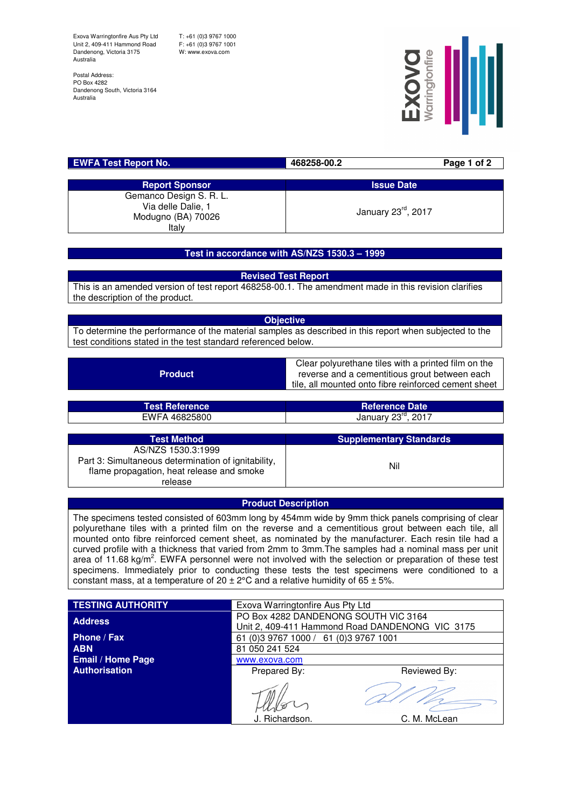Exova Warringtonfire Aus Pty Ltd Unit 2, 409-411 Hammond Road Dandenong, Victoria 3175 Australia

T: +61 (0)3 9767 1000 F: +61 (0)3 9767 1001 W: www.exova.com

Postal Address: PO Box 4282 Dandenong South, Victoria 3164 Australia



| <b>EWFA Test Report No.</b>                                                  | 468258-00.2        | Page 1 of 2 |
|------------------------------------------------------------------------------|--------------------|-------------|
|                                                                              |                    |             |
| <b>Report Sponsor</b>                                                        | <b>Issue Date</b>  |             |
| Gemanco Design S. R. L.<br>Via delle Dalie, 1<br>Modugno (BA) 70026<br>Italy | January 23rd, 2017 |             |

## **Test in accordance with AS/NZS 1530.3 – 1999**

**Revised Test Report**

This is an amended version of test report 468258-00.1. The amendment made in this revision clarifies the description of the product.

**Objective**

To determine the performance of the material samples as described in this report when subjected to the test conditions stated in the test standard referenced below.

**Product** 

Clear polyurethane tiles with a printed film on the reverse and a cementitious grout between each tile, all mounted onto fibre reinforced cement sheet

| <b>Test Reference</b> | <b>Reference Date</b>           |
|-----------------------|---------------------------------|
| EWFA 46825800         | January 23 <sup>rd</sup> , 2017 |
|                       |                                 |
| <b>Test Method</b>    | <b>Supplementary Standards</b>  |

| Test Method                                                                                      | <b>SUPPLEMENTAL V STATIGATUS</b> |
|--------------------------------------------------------------------------------------------------|----------------------------------|
| AS/NZS 1530.3:1999                                                                               |                                  |
| Part 3: Simultaneous determination of ignitability,<br>flame propagation, heat release and smoke | Nil                              |
| release                                                                                          |                                  |

## **Product Description**

The specimens tested consisted of 603mm long by 454mm wide by 9mm thick panels comprising of clear polyurethane tiles with a printed film on the reverse and a cementitious grout between each tile, all mounted onto fibre reinforced cement sheet, as nominated by the manufacturer. Each resin tile had a curved profile with a thickness that varied from 2mm to 3mm.The samples had a nominal mass per unit area of 11.68 kg/m<sup>2</sup>. EWFA personnel were not involved with the selection or preparation of these test specimens. Immediately prior to conducting these tests the test specimens were conditioned to a constant mass, at a temperature of  $20 \pm 2^{\circ}$ C and a relative humidity of 65  $\pm$  5%.

| <b>TESTING AUTHORITY</b> | Exova Warringtonfire Aus Pty Ltd                                                        |              |  |
|--------------------------|-----------------------------------------------------------------------------------------|--------------|--|
| <b>Address</b>           | PO Box 4282 DANDENONG SOUTH VIC 3164<br>Unit 2, 409-411 Hammond Road DANDENONG VIC 3175 |              |  |
| Phone / Fax              | 61 (0)3 9767 1000 / 61 (0)3 9767 1001                                                   |              |  |
| <b>ABN</b>               | 81 050 241 524                                                                          |              |  |
| <b>Email / Home Page</b> | www.exova.com                                                                           |              |  |
| Authorisation            | Prepared By:                                                                            | Reviewed By: |  |
|                          | J. Richardson.                                                                          | C. M. McLean |  |